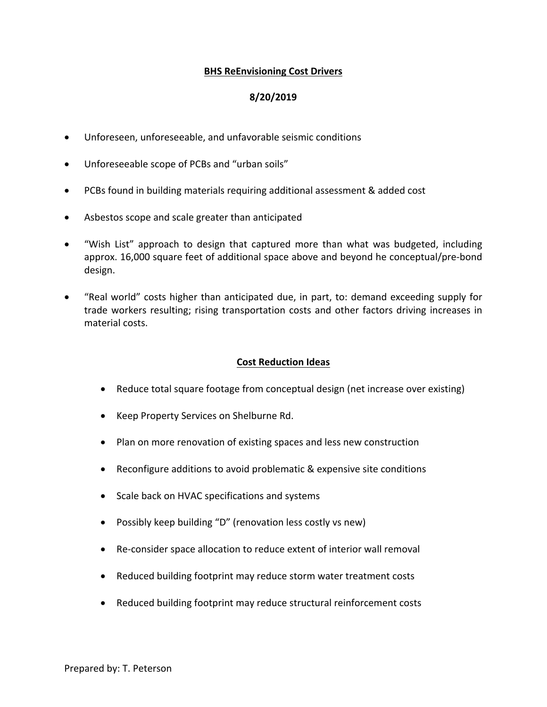## **BHS ReEnvisioning Cost Drivers**

## **8/20/2019**

- Unforeseen, unforeseeable, and unfavorable seismic conditions
- Unforeseeable scope of PCBs and "urban soils"
- PCBs found in building materials requiring additional assessment & added cost
- Asbestos scope and scale greater than anticipated
- "Wish List" approach to design that captured more than what was budgeted, including approx. 16,000 square feet of additional space above and beyond he conceptual/pre-bond design.
- "Real world" costs higher than anticipated due, in part, to: demand exceeding supply for trade workers resulting; rising transportation costs and other factors driving increases in material costs.

## **Cost Reduction Ideas**

- Reduce total square footage from conceptual design (net increase over existing)
- Keep Property Services on Shelburne Rd.
- Plan on more renovation of existing spaces and less new construction
- Reconfigure additions to avoid problematic & expensive site conditions
- Scale back on HVAC specifications and systems
- Possibly keep building "D" (renovation less costly vs new)
- Re-consider space allocation to reduce extent of interior wall removal
- Reduced building footprint may reduce storm water treatment costs
- Reduced building footprint may reduce structural reinforcement costs